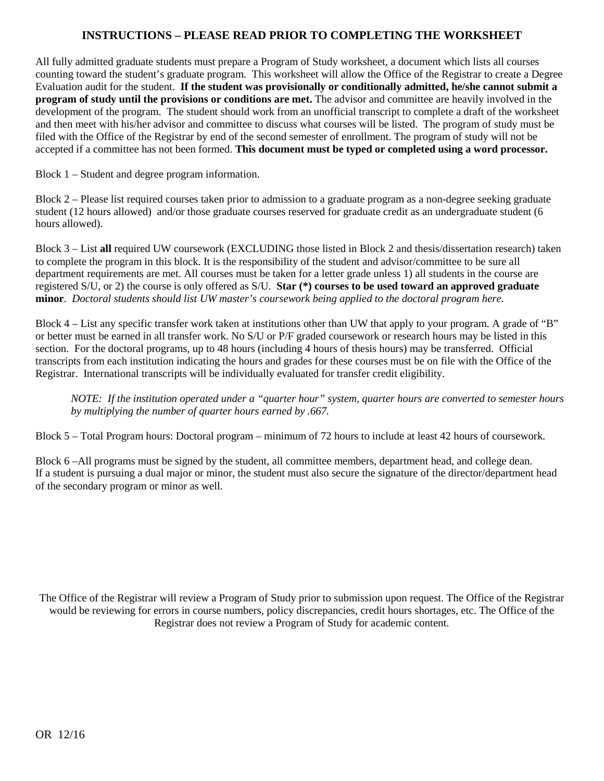## **INSTRUCTIONS – PLEASE READ PRIOR TO COMPLETING THE WORKSHEET**

All fully admitted graduate students must prepare a Program of Study worksheet, a document which lists all courses counting toward the student's graduate program. This worksheet will allow the Office of the Registrar to create a Degree Evaluation audit for the student. **If the student was provisionally or conditionally admitted, he/she cannot submit a program of study until the provisions or conditions are met.** The advisor and committee are heavily involved in the development of the program. The student should work from an unofficial transcript to complete a draft of the worksheet and then meet with his/her advisor and committee to discuss what courses will be listed. The program of study must be filed with the Office of the Registrar by end of the second semester of enrollment. The program of study will not be accepted if a committee has not been formed. **This document must be typed or completed using a word processor.**

Block 1 – Student and degree program information.

Block 2 – Please list required courses taken prior to admission to a graduate program as a non-degree seeking graduate student (12 hours allowed) and/or those graduate courses reserved for graduate credit as an undergraduate student (6 hours allowed).

Block 3 – List **all** required UW coursework (EXCLUDING those listed in Block 2 and thesis/dissertation research) taken to complete the program in this block. It is the responsibility of the student and advisor/committee to be sure all department requirements are met. All courses must be taken for a letter grade unless 1) all students in the course are registered S/U, or 2) the course is only offered as S/U. **Star (\*) courses to be used toward an approved graduate minor**. *Doctoral students should list UW master's coursework being applied to the doctoral program here.*

Block 4 – List any specific transfer work taken at institutions other than UW that apply to your program. A grade of "B" or better must be earned in all transfer work. No S/U or P/F graded coursework or research hours may be listed in this section. For the doctoral programs, up to 48 hours (including 4 hours of thesis hours) may be transferred. Official transcripts from each institution indicating the hours and grades for these courses must be on file with the Office of the Registrar. International transcripts will be individually evaluated for transfer credit eligibility.

*NOTE: If the institution operated under a "quarter hour" system, quarter hours are converted to semester hours by multiplying the number of quarter hours earned by .667.* 

Block 5 – Total Program hours: Doctoral program – minimum of 72 hours to include at least 42 hours of coursework.

Block 6 –All programs must be signed by the student, all committee members, department head, and college dean. If a student is pursuing a dual major or minor, the student must also secure the signature of the director/department head of the secondary program or minor as well.

The Office of the Registrar will review a Program of Study prior to submission upon request. The Office of the Registrar would be reviewing for errors in course numbers, policy discrepancies, credit hours shortages, etc. The Office of the Registrar does not review a Program of Study for academic content.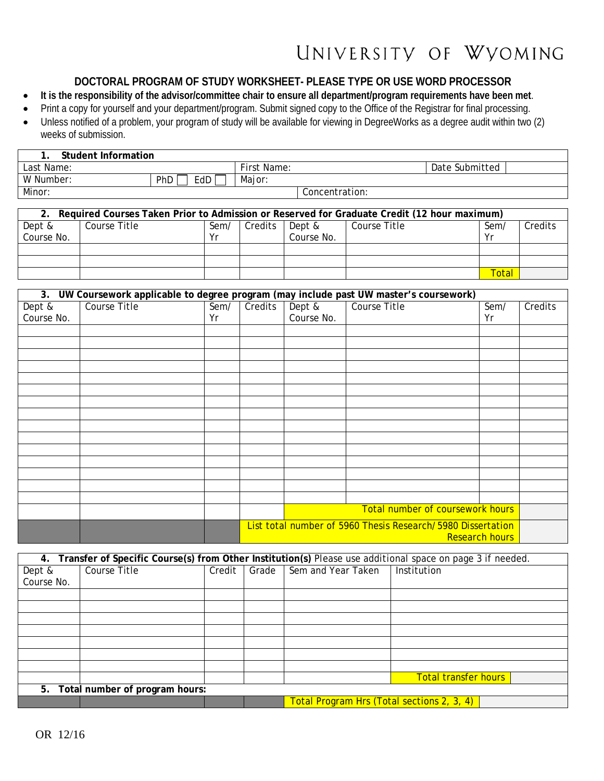## UNIVERSITY OF WYOMING

## **DOCTORAL PROGRAM OF STUDY WORKSHEET- PLEASE TYPE OR USE WORD PROCESSOR**

- **It is the responsibility of the advisor/committee chair to ensure all department/program requirements have been met**.
- Print a copy for yourself and your department/program. Submit signed copy to the Office of the Registrar for final processing.
- Unless notified of a problem, your program of study will be available for viewing in DegreeWorks as a degree audit within two (2) weeks of submission.

| Student Information |                   |             |                |                |
|---------------------|-------------------|-------------|----------------|----------------|
| Last Name:          |                   | First Name: |                | Date Submitted |
| W Number:           | <b>PhD</b><br>EdD | Maior:      |                |                |
| Minor:              |                   |             | Concentration: |                |

| Required Courses Taken Prior to Admission or Reserved for Graduate Credit (12 hour maximum) |              |      |         |            |              |       |         |
|---------------------------------------------------------------------------------------------|--------------|------|---------|------------|--------------|-------|---------|
| Dept &                                                                                      | Course Title | Sem/ | Credits | Dept &     | Course Title | Sem   | Credits |
| Course No.                                                                                  |              | Yr   |         | Course No. |              | Vr    |         |
|                                                                                             |              |      |         |            |              |       |         |
|                                                                                             |              |      |         |            |              |       |         |
|                                                                                             |              |      |         |            |              | Total |         |

| UW Coursework applicable to degree program (may include past UW master's coursework)<br>3. |              |      |                                                                                      |            |              |      |         |
|--------------------------------------------------------------------------------------------|--------------|------|--------------------------------------------------------------------------------------|------------|--------------|------|---------|
| Dept &                                                                                     | Course Title | Sem/ | Credits                                                                              | Dept &     | Course Title | Sem/ | Credits |
| Course No.                                                                                 |              | Yr   |                                                                                      | Course No. |              | Yr   |         |
|                                                                                            |              |      |                                                                                      |            |              |      |         |
|                                                                                            |              |      |                                                                                      |            |              |      |         |
|                                                                                            |              |      |                                                                                      |            |              |      |         |
|                                                                                            |              |      |                                                                                      |            |              |      |         |
|                                                                                            |              |      |                                                                                      |            |              |      |         |
|                                                                                            |              |      |                                                                                      |            |              |      |         |
|                                                                                            |              |      |                                                                                      |            |              |      |         |
|                                                                                            |              |      |                                                                                      |            |              |      |         |
|                                                                                            |              |      |                                                                                      |            |              |      |         |
|                                                                                            |              |      |                                                                                      |            |              |      |         |
|                                                                                            |              |      |                                                                                      |            |              |      |         |
|                                                                                            |              |      |                                                                                      |            |              |      |         |
|                                                                                            |              |      |                                                                                      |            |              |      |         |
|                                                                                            |              |      |                                                                                      |            |              |      |         |
|                                                                                            |              |      |                                                                                      |            |              |      |         |
|                                                                                            |              |      | Total number of coursework hours                                                     |            |              |      |         |
|                                                                                            |              |      | List total number of 5960 Thesis Research/5980 Dissertation<br><b>Research hours</b> |            |              |      |         |

| 4. Transfer of Specific Course(s) from Other Institution(s) Please use additional space on page 3 if needed. |              |        |       |                                            |                             |  |  |
|--------------------------------------------------------------------------------------------------------------|--------------|--------|-------|--------------------------------------------|-----------------------------|--|--|
| Dept &                                                                                                       | Course Title | Credit | Grade | Sem and Year Taken                         | Institution                 |  |  |
| Course No.                                                                                                   |              |        |       |                                            |                             |  |  |
|                                                                                                              |              |        |       |                                            |                             |  |  |
|                                                                                                              |              |        |       |                                            |                             |  |  |
|                                                                                                              |              |        |       |                                            |                             |  |  |
|                                                                                                              |              |        |       |                                            |                             |  |  |
|                                                                                                              |              |        |       |                                            |                             |  |  |
|                                                                                                              |              |        |       |                                            |                             |  |  |
|                                                                                                              |              |        |       |                                            |                             |  |  |
|                                                                                                              |              |        |       |                                            | <b>Total transfer hours</b> |  |  |
| 5. Total number of program hours:                                                                            |              |        |       |                                            |                             |  |  |
|                                                                                                              |              |        |       | Total Program Hrs (Total sections 2, 3, 4) |                             |  |  |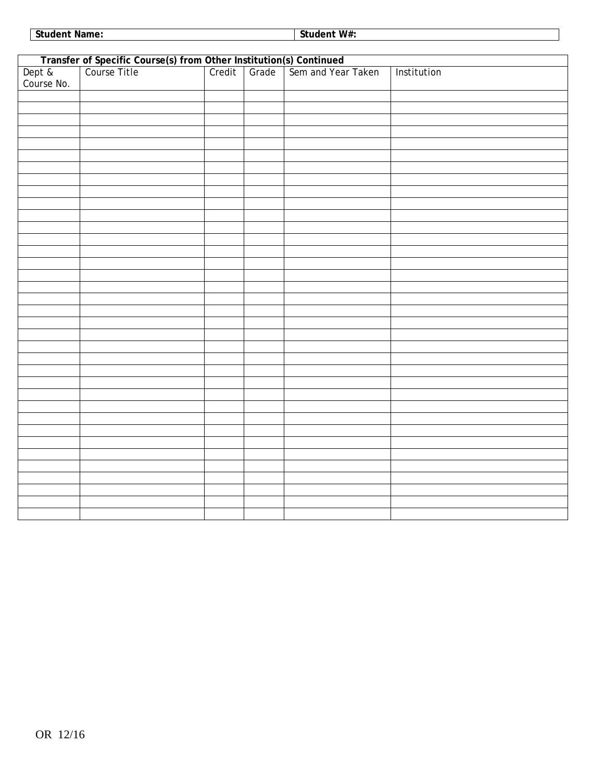| $\sim$  | W#                  |
|---------|---------------------|
| Name.   | studen <sup>+</sup> |
| student | 21 I L              |
| .       |                     |

| Transfer of Specific Course(s) from Other Institution(s) Continued<br>ot &   Course Title   Credit   Grade   Sem and Year Taken |  |  |  |  |             |  |
|---------------------------------------------------------------------------------------------------------------------------------|--|--|--|--|-------------|--|
| Dept &<br>Course No.                                                                                                            |  |  |  |  | Institution |  |
|                                                                                                                                 |  |  |  |  |             |  |
|                                                                                                                                 |  |  |  |  |             |  |
|                                                                                                                                 |  |  |  |  |             |  |
|                                                                                                                                 |  |  |  |  |             |  |
|                                                                                                                                 |  |  |  |  |             |  |
|                                                                                                                                 |  |  |  |  |             |  |
|                                                                                                                                 |  |  |  |  |             |  |
|                                                                                                                                 |  |  |  |  |             |  |
|                                                                                                                                 |  |  |  |  |             |  |
|                                                                                                                                 |  |  |  |  |             |  |
|                                                                                                                                 |  |  |  |  |             |  |
|                                                                                                                                 |  |  |  |  |             |  |
|                                                                                                                                 |  |  |  |  |             |  |
|                                                                                                                                 |  |  |  |  |             |  |
|                                                                                                                                 |  |  |  |  |             |  |
|                                                                                                                                 |  |  |  |  |             |  |
|                                                                                                                                 |  |  |  |  |             |  |
|                                                                                                                                 |  |  |  |  |             |  |
|                                                                                                                                 |  |  |  |  |             |  |
|                                                                                                                                 |  |  |  |  |             |  |
|                                                                                                                                 |  |  |  |  |             |  |
|                                                                                                                                 |  |  |  |  |             |  |
|                                                                                                                                 |  |  |  |  |             |  |
|                                                                                                                                 |  |  |  |  |             |  |
|                                                                                                                                 |  |  |  |  |             |  |
|                                                                                                                                 |  |  |  |  |             |  |
|                                                                                                                                 |  |  |  |  |             |  |
|                                                                                                                                 |  |  |  |  |             |  |
|                                                                                                                                 |  |  |  |  |             |  |
|                                                                                                                                 |  |  |  |  |             |  |
|                                                                                                                                 |  |  |  |  |             |  |
|                                                                                                                                 |  |  |  |  |             |  |
|                                                                                                                                 |  |  |  |  |             |  |
|                                                                                                                                 |  |  |  |  |             |  |
|                                                                                                                                 |  |  |  |  |             |  |
|                                                                                                                                 |  |  |  |  |             |  |
|                                                                                                                                 |  |  |  |  |             |  |